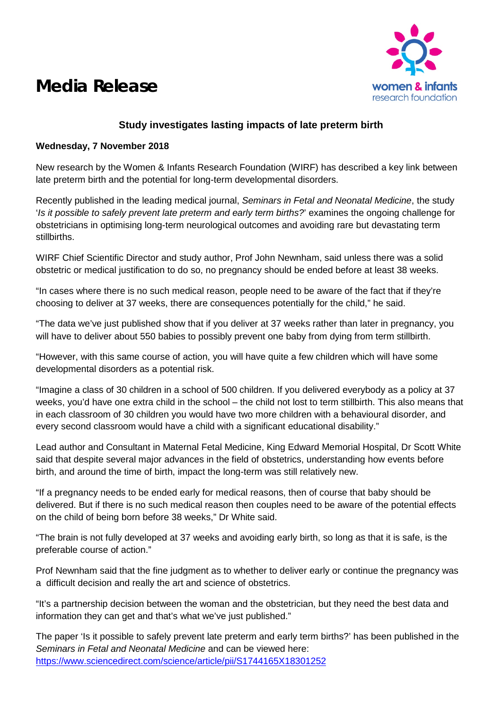

# **Media Release**

## **Study investigates lasting impacts of late preterm birth**

#### **Wednesday, 7 November 2018**

New research by the Women & Infants Research Foundation (WIRF) has described a key link between late preterm birth and the potential for long-term developmental disorders.

Recently published in the leading medical journal, *Seminars in Fetal and Neonatal Medicine*, the study '*Is it possible to safely prevent late preterm and early term births?*' examines the ongoing challenge for obstetricians in optimising long-term neurological outcomes and avoiding rare but devastating term stillbirths.

WIRF Chief Scientific Director and study author, Prof John Newnham, said unless there was a solid obstetric or medical justification to do so, no pregnancy should be ended before at least 38 weeks.

"In cases where there is no such medical reason, people need to be aware of the fact that if they're choosing to deliver at 37 weeks, there are consequences potentially for the child," he said.

"The data we've just published show that if you deliver at 37 weeks rather than later in pregnancy, you will have to deliver about 550 babies to possibly prevent one baby from dying from term stillbirth.

"However, with this same course of action, you will have quite a few children which will have some developmental disorders as a potential risk.

"Imagine a class of 30 children in a school of 500 children. If you delivered everybody as a policy at 37 weeks, you'd have one extra child in the school – the child not lost to term stillbirth. This also means that in each classroom of 30 children you would have two more children with a behavioural disorder, and every second classroom would have a child with a significant educational disability."

Lead author and Consultant in Maternal Fetal Medicine, King Edward Memorial Hospital, Dr Scott White said that despite several major advances in the field of obstetrics, understanding how events before birth, and around the time of birth, impact the long-term was still relatively new.

"If a pregnancy needs to be ended early for medical reasons, then of course that baby should be delivered. But if there is no such medical reason then couples need to be aware of the potential effects on the child of being born before 38 weeks," Dr White said.

"The brain is not fully developed at 37 weeks and avoiding early birth, so long as that it is safe, is the preferable course of action."

Prof Newnham said that the fine judgment as to whether to deliver early or continue the pregnancy was a difficult decision and really the art and science of obstetrics.

"It's a partnership decision between the woman and the obstetrician, but they need the best data and information they can get and that's what we've just published."

The paper 'Is it possible to safely prevent late preterm and early term births?' has been published in the *Seminars in Fetal and Neonatal Medicine* and can be viewed here: <https://www.sciencedirect.com/science/article/pii/S1744165X18301252>